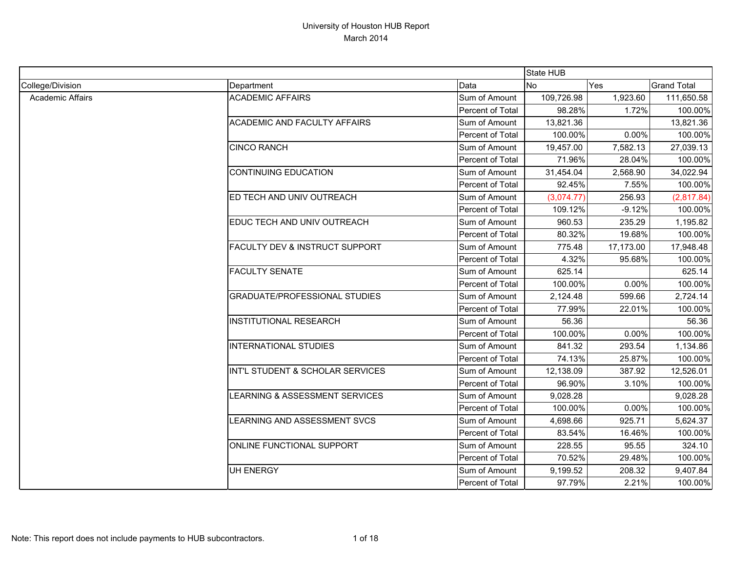|                  |                                      |                  | State HUB  |           |                    |
|------------------|--------------------------------------|------------------|------------|-----------|--------------------|
| College/Division | Department                           | Data             | <b>No</b>  | Yes       | <b>Grand Total</b> |
| Academic Affairs | <b>ACADEMIC AFFAIRS</b>              | Sum of Amount    | 109,726.98 | 1,923.60  | 111,650.58         |
|                  |                                      | Percent of Total | 98.28%     | 1.72%     | 100.00%            |
|                  | <b>ACADEMIC AND FACULTY AFFAIRS</b>  | Sum of Amount    | 13,821.36  |           | 13,821.36          |
|                  |                                      | Percent of Total | 100.00%    | 0.00%     | 100.00%            |
|                  | <b>CINCO RANCH</b>                   | Sum of Amount    | 19,457.00  | 7,582.13  | 27,039.13          |
|                  |                                      | Percent of Total | 71.96%     | 28.04%    | 100.00%            |
|                  | <b>CONTINUING EDUCATION</b>          | Sum of Amount    | 31,454.04  | 2,568.90  | 34,022.94          |
|                  |                                      | Percent of Total | 92.45%     | 7.55%     | 100.00%            |
|                  | ED TECH AND UNIV OUTREACH            | Sum of Amount    | (3,074.77) | 256.93    | (2,817.84)         |
|                  |                                      | Percent of Total | 109.12%    | $-9.12%$  | 100.00%            |
|                  | EDUC TECH AND UNIV OUTREACH          | Sum of Amount    | 960.53     | 235.29    | 1,195.82           |
|                  |                                      | Percent of Total | 80.32%     | 19.68%    | 100.00%            |
|                  | FACULTY DEV & INSTRUCT SUPPORT       | Sum of Amount    | 775.48     | 17,173.00 | 17,948.48          |
|                  |                                      | Percent of Total | 4.32%      | 95.68%    | 100.00%            |
|                  | <b>FACULTY SENATE</b>                | Sum of Amount    | 625.14     |           | 625.14             |
|                  |                                      | Percent of Total | 100.00%    | 0.00%     | 100.00%            |
|                  | <b>GRADUATE/PROFESSIONAL STUDIES</b> | Sum of Amount    | 2,124.48   | 599.66    | 2,724.14           |
|                  |                                      | Percent of Total | 77.99%     | 22.01%    | 100.00%            |
|                  | <b>INSTITUTIONAL RESEARCH</b>        | Sum of Amount    | 56.36      |           | 56.36              |
|                  |                                      | Percent of Total | 100.00%    | 0.00%     | 100.00%            |
|                  | <b>INTERNATIONAL STUDIES</b>         | Sum of Amount    | 841.32     | 293.54    | 1,134.86           |
|                  |                                      | Percent of Total | 74.13%     | 25.87%    | 100.00%            |
|                  | INT'L STUDENT & SCHOLAR SERVICES     | Sum of Amount    | 12,138.09  | 387.92    | 12,526.01          |
|                  |                                      | Percent of Total | 96.90%     | 3.10%     | 100.00%            |
|                  | LEARNING & ASSESSMENT SERVICES       | Sum of Amount    | 9,028.28   |           | 9,028.28           |
|                  |                                      | Percent of Total | 100.00%    | 0.00%     | 100.00%            |
|                  | LEARNING AND ASSESSMENT SVCS         | Sum of Amount    | 4,698.66   | 925.71    | 5,624.37           |
|                  |                                      | Percent of Total | 83.54%     | 16.46%    | 100.00%            |
|                  | ONLINE FUNCTIONAL SUPPORT            | Sum of Amount    | 228.55     | 95.55     | 324.10             |
|                  |                                      | Percent of Total | 70.52%     | 29.48%    | 100.00%            |
|                  | UH ENERGY                            | Sum of Amount    | 9,199.52   | 208.32    | 9,407.84           |
|                  |                                      | Percent of Total | 97.79%     | 2.21%     | 100.00%            |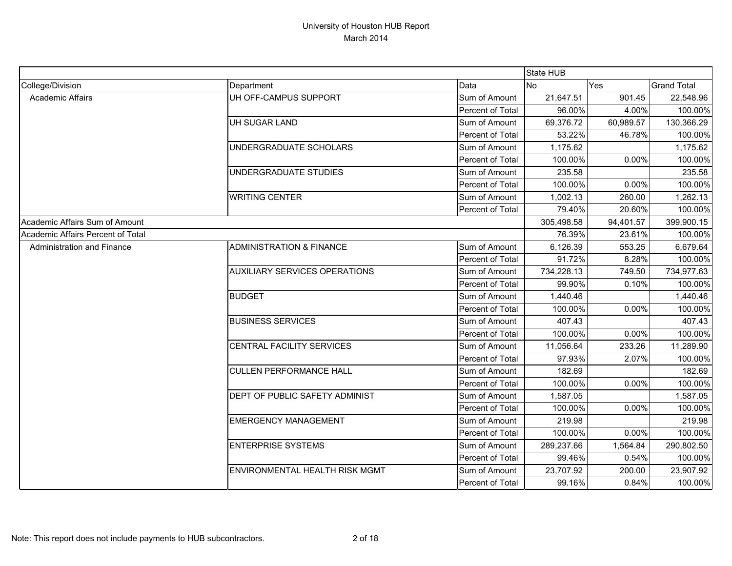|                                   |                                       |                  | State HUB  |           |                    |
|-----------------------------------|---------------------------------------|------------------|------------|-----------|--------------------|
| College/Division                  | Department                            | Data             | <b>No</b>  | Yes       | <b>Grand Total</b> |
| Academic Affairs                  | UH OFF-CAMPUS SUPPORT                 | Sum of Amount    | 21,647.51  | 901.45    | 22,548.96          |
|                                   |                                       | Percent of Total | 96.00%     | 4.00%     | 100.00%            |
|                                   | UH SUGAR LAND                         | Sum of Amount    | 69,376.72  | 60,989.57 | 130,366.29         |
|                                   |                                       | Percent of Total | 53.22%     | 46.78%    | 100.00%            |
|                                   | UNDERGRADUATE SCHOLARS                | Sum of Amount    | 1,175.62   |           | 1,175.62           |
|                                   |                                       | Percent of Total | 100.00%    | 0.00%     | 100.00%            |
|                                   | UNDERGRADUATE STUDIES                 | Sum of Amount    | 235.58     |           | 235.58             |
|                                   |                                       | Percent of Total | 100.00%    | 0.00%     | 100.00%            |
|                                   | <b>WRITING CENTER</b>                 | Sum of Amount    | 1,002.13   | 260.00    | 1,262.13           |
|                                   |                                       | Percent of Total | 79.40%     | 20.60%    | 100.00%            |
| Academic Affairs Sum of Amount    |                                       |                  | 305,498.58 | 94,401.57 | 399,900.15         |
| Academic Affairs Percent of Total |                                       |                  | 76.39%     | 23.61%    | 100.00%            |
| <b>Administration and Finance</b> | <b>ADMINISTRATION &amp; FINANCE</b>   | Sum of Amount    | 6,126.39   | 553.25    | 6,679.64           |
|                                   |                                       | Percent of Total | 91.72%     | 8.28%     | 100.00%            |
|                                   | <b>AUXILIARY SERVICES OPERATIONS</b>  | Sum of Amount    | 734,228.13 | 749.50    | 734,977.63         |
|                                   |                                       | Percent of Total | 99.90%     | 0.10%     | 100.00%            |
|                                   | <b>BUDGET</b>                         | Sum of Amount    | 1,440.46   |           | 1,440.46           |
|                                   |                                       | Percent of Total | 100.00%    | 0.00%     | 100.00%            |
|                                   | <b>BUSINESS SERVICES</b>              | Sum of Amount    | 407.43     |           | 407.43             |
|                                   |                                       | Percent of Total | 100.00%    | 0.00%     | 100.00%            |
|                                   | CENTRAL FACILITY SERVICES             | Sum of Amount    | 11,056.64  | 233.26    | 11,289.90          |
|                                   |                                       | Percent of Total | 97.93%     | 2.07%     | 100.00%            |
|                                   | <b>CULLEN PERFORMANCE HALL</b>        | Sum of Amount    | 182.69     |           | 182.69             |
|                                   |                                       | Percent of Total | 100.00%    | 0.00%     | 100.00%            |
|                                   | DEPT OF PUBLIC SAFETY ADMINIST        | Sum of Amount    | 1,587.05   |           | 1,587.05           |
|                                   |                                       | Percent of Total | 100.00%    | 0.00%     | 100.00%            |
|                                   | <b>EMERGENCY MANAGEMENT</b>           | Sum of Amount    | 219.98     |           | 219.98             |
|                                   |                                       | Percent of Total | 100.00%    | 0.00%     | 100.00%            |
|                                   | <b>ENTERPRISE SYSTEMS</b>             | Sum of Amount    | 289,237.66 | 1,564.84  | 290,802.50         |
|                                   |                                       | Percent of Total | 99.46%     | 0.54%     | 100.00%            |
|                                   | <b>ENVIRONMENTAL HEALTH RISK MGMT</b> | Sum of Amount    | 23,707.92  | 200.00    | 23,907.92          |
|                                   |                                       | Percent of Total | 99.16%     | 0.84%     | 100.00%            |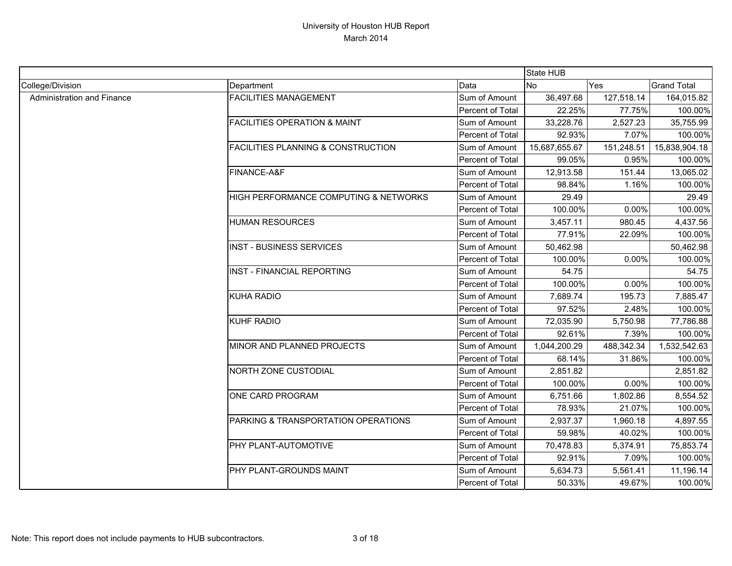|                            |                                               |                  | State HUB     |            |                    |
|----------------------------|-----------------------------------------------|------------------|---------------|------------|--------------------|
| College/Division           | Department                                    | Data             | <b>No</b>     | Yes        | <b>Grand Total</b> |
| Administration and Finance | <b>FACILITIES MANAGEMENT</b>                  | Sum of Amount    | 36,497.68     | 127,518.14 | 164,015.82         |
|                            |                                               | Percent of Total | 22.25%        | 77.75%     | 100.00%            |
|                            | <b>FACILITIES OPERATION &amp; MAINT</b>       | Sum of Amount    | 33,228.76     | 2,527.23   | 35,755.99          |
|                            |                                               | Percent of Total | 92.93%        | 7.07%      | 100.00%            |
|                            | <b>FACILITIES PLANNING &amp; CONSTRUCTION</b> | Sum of Amount    | 15,687,655.67 | 151,248.51 | 15,838,904.18      |
|                            |                                               | Percent of Total | 99.05%        | 0.95%      | 100.00%            |
|                            | FINANCE-A&F                                   | Sum of Amount    | 12,913.58     | 151.44     | 13,065.02          |
|                            |                                               | Percent of Total | 98.84%        | 1.16%      | 100.00%            |
|                            | HIGH PERFORMANCE COMPUTING & NETWORKS         | Sum of Amount    | 29.49         |            | 29.49              |
|                            |                                               | Percent of Total | 100.00%       | 0.00%      | 100.00%            |
|                            | <b>HUMAN RESOURCES</b>                        | Sum of Amount    | 3,457.11      | 980.45     | 4,437.56           |
|                            |                                               | Percent of Total | 77.91%        | 22.09%     | 100.00%            |
|                            | <b>INST - BUSINESS SERVICES</b>               | Sum of Amount    | 50,462.98     |            | 50,462.98          |
|                            |                                               | Percent of Total | 100.00%       | 0.00%      | 100.00%            |
|                            | <b>INST - FINANCIAL REPORTING</b>             | Sum of Amount    | 54.75         |            | 54.75              |
|                            |                                               | Percent of Total | 100.00%       | 0.00%      | 100.00%            |
|                            | <b>KUHA RADIO</b>                             | Sum of Amount    | 7,689.74      | 195.73     | 7,885.47           |
|                            |                                               | Percent of Total | 97.52%        | 2.48%      | 100.00%            |
|                            | KUHF RADIO                                    | Sum of Amount    | 72,035.90     | 5,750.98   | 77,786.88          |
|                            |                                               | Percent of Total | 92.61%        | 7.39%      | 100.00%            |
|                            | MINOR AND PLANNED PROJECTS                    | Sum of Amount    | 1,044,200.29  | 488,342.34 | 1,532,542.63       |
|                            |                                               | Percent of Total | 68.14%        | 31.86%     | 100.00%            |
|                            | <b>NORTH ZONE CUSTODIAL</b>                   | Sum of Amount    | 2,851.82      |            | 2,851.82           |
|                            |                                               | Percent of Total | 100.00%       | 0.00%      | 100.00%            |
|                            | ONE CARD PROGRAM                              | Sum of Amount    | 6,751.66      | 1,802.86   | 8,554.52           |
|                            |                                               | Percent of Total | 78.93%        | 21.07%     | 100.00%            |
|                            | PARKING & TRANSPORTATION OPERATIONS           | Sum of Amount    | 2,937.37      | 1,960.18   | 4,897.55           |
|                            |                                               | Percent of Total | 59.98%        | 40.02%     | 100.00%            |
|                            | <b>PHY PLANT-AUTOMOTIVE</b>                   | Sum of Amount    | 70,478.83     | 5,374.91   | 75,853.74          |
|                            |                                               | Percent of Total | 92.91%        | 7.09%      | 100.00%            |
|                            | PHY PLANT-GROUNDS MAINT                       | Sum of Amount    | 5,634.73      | 5,561.41   | 11,196.14          |
|                            |                                               | Percent of Total | 50.33%        | 49.67%     | 100.00%            |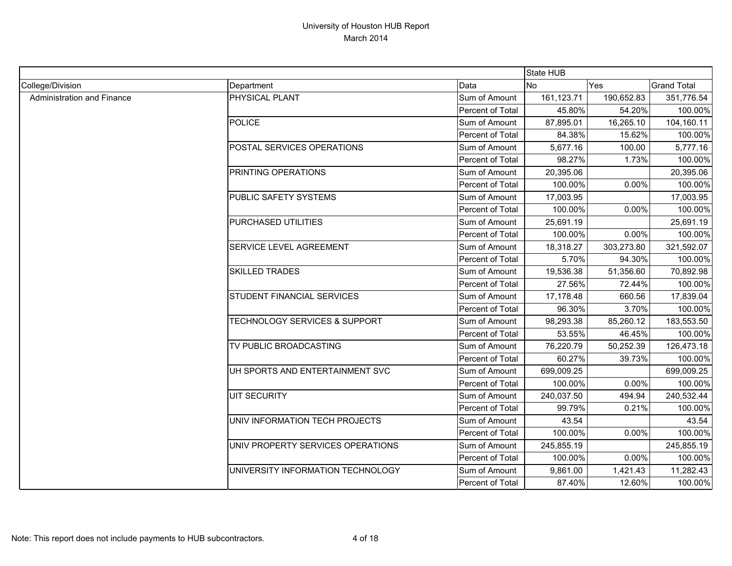|                            |                                          |                  | State HUB  |            |                    |
|----------------------------|------------------------------------------|------------------|------------|------------|--------------------|
| College/Division           | Department                               | Data             | <b>No</b>  | Yes        | <b>Grand Total</b> |
| Administration and Finance | PHYSICAL PLANT                           | Sum of Amount    | 161,123.71 | 190,652.83 | 351,776.54         |
|                            |                                          | Percent of Total | 45.80%     | 54.20%     | 100.00%            |
|                            | <b>POLICE</b>                            | Sum of Amount    | 87,895.01  | 16,265.10  | 104,160.11         |
|                            |                                          | Percent of Total | 84.38%     | 15.62%     | 100.00%            |
|                            | POSTAL SERVICES OPERATIONS               | Sum of Amount    | 5,677.16   | 100.00     | 5,777.16           |
|                            |                                          | Percent of Total | 98.27%     | 1.73%      | 100.00%            |
|                            | PRINTING OPERATIONS                      | Sum of Amount    | 20,395.06  |            | 20,395.06          |
|                            |                                          | Percent of Total | 100.00%    | 0.00%      | 100.00%            |
|                            | PUBLIC SAFETY SYSTEMS                    | Sum of Amount    | 17,003.95  |            | 17,003.95          |
|                            |                                          | Percent of Total | 100.00%    | 0.00%      | 100.00%            |
|                            | PURCHASED UTILITIES                      | Sum of Amount    | 25,691.19  |            | 25,691.19          |
|                            |                                          | Percent of Total | 100.00%    | 0.00%      | 100.00%            |
|                            | SERVICE LEVEL AGREEMENT                  | Sum of Amount    | 18,318.27  | 303,273.80 | 321,592.07         |
|                            |                                          | Percent of Total | 5.70%      | 94.30%     | 100.00%            |
|                            | <b>SKILLED TRADES</b>                    | Sum of Amount    | 19,536.38  | 51,356.60  | 70,892.98          |
|                            |                                          | Percent of Total | 27.56%     | 72.44%     | 100.00%            |
|                            | <b>STUDENT FINANCIAL SERVICES</b>        | Sum of Amount    | 17,178.48  | 660.56     | 17,839.04          |
|                            |                                          | Percent of Total | 96.30%     | 3.70%      | 100.00%            |
|                            | <b>TECHNOLOGY SERVICES &amp; SUPPORT</b> | Sum of Amount    | 98,293.38  | 85,260.12  | 183,553.50         |
|                            |                                          | Percent of Total | 53.55%     | 46.45%     | 100.00%            |
|                            | TV PUBLIC BROADCASTING                   | Sum of Amount    | 76,220.79  | 50,252.39  | 126,473.18         |
|                            |                                          | Percent of Total | 60.27%     | 39.73%     | 100.00%            |
|                            | UH SPORTS AND ENTERTAINMENT SVC          | Sum of Amount    | 699,009.25 |            | 699,009.25         |
|                            |                                          | Percent of Total | 100.00%    | 0.00%      | 100.00%            |
|                            | <b>UIT SECURITY</b>                      | Sum of Amount    | 240,037.50 | 494.94     | 240,532.44         |
|                            |                                          | Percent of Total | 99.79%     | 0.21%      | 100.00%            |
|                            | UNIV INFORMATION TECH PROJECTS           | Sum of Amount    | 43.54      |            | 43.54              |
|                            |                                          | Percent of Total | 100.00%    | 0.00%      | 100.00%            |
|                            | UNIV PROPERTY SERVICES OPERATIONS        | Sum of Amount    | 245,855.19 |            | 245,855.19         |
|                            |                                          | Percent of Total | 100.00%    | 0.00%      | 100.00%            |
|                            | UNIVERSITY INFORMATION TECHNOLOGY        | Sum of Amount    | 9,861.00   | 1,421.43   | 11,282.43          |
|                            |                                          | Percent of Total | 87.40%     | 12.60%     | 100.00%            |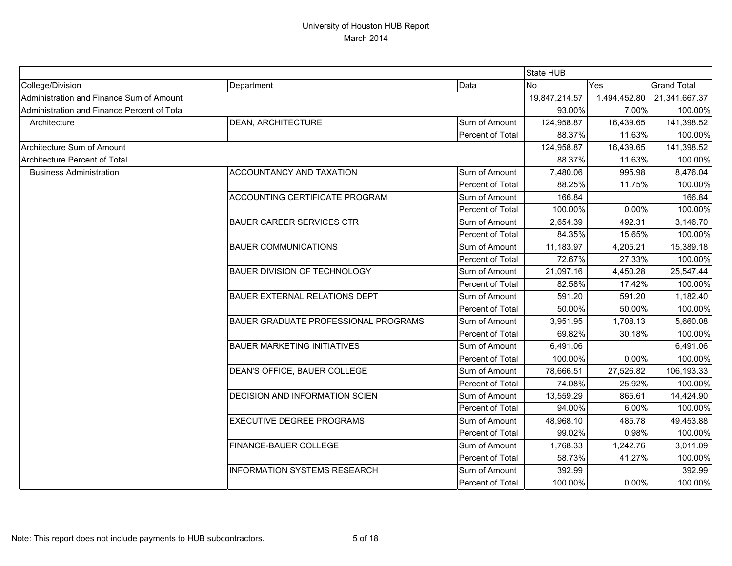|                                             |                                      |                  | State HUB     |              |                    |
|---------------------------------------------|--------------------------------------|------------------|---------------|--------------|--------------------|
| College/Division                            | Department                           | Data             | <b>No</b>     | Yes          | <b>Grand Total</b> |
| Administration and Finance Sum of Amount    |                                      |                  | 19,847,214.57 | 1,494,452.80 | 21,341,667.37      |
| Administration and Finance Percent of Total |                                      |                  | 93.00%        | 7.00%        | 100.00%            |
| Architecture                                | <b>DEAN, ARCHITECTURE</b>            | Sum of Amount    | 124,958.87    | 16,439.65    | 141,398.52         |
|                                             |                                      | Percent of Total | 88.37%        | 11.63%       | 100.00%            |
| Architecture Sum of Amount                  |                                      |                  | 124,958.87    | 16,439.65    | 141,398.52         |
| Architecture Percent of Total               |                                      |                  | 88.37%        | 11.63%       | 100.00%            |
| <b>Business Administration</b>              | ACCOUNTANCY AND TAXATION             | Sum of Amount    | 7,480.06      | 995.98       | 8,476.04           |
|                                             |                                      | Percent of Total | 88.25%        | 11.75%       | 100.00%            |
|                                             | ACCOUNTING CERTIFICATE PROGRAM       | Sum of Amount    | 166.84        |              | 166.84             |
|                                             |                                      | Percent of Total | 100.00%       | 0.00%        | 100.00%            |
|                                             | <b>BAUER CAREER SERVICES CTR</b>     | Sum of Amount    | 2,654.39      | 492.31       | 3,146.70           |
|                                             |                                      | Percent of Total | 84.35%        | 15.65%       | 100.00%            |
|                                             | <b>BAUER COMMUNICATIONS</b>          | Sum of Amount    | 11,183.97     | 4,205.21     | 15,389.18          |
|                                             |                                      | Percent of Total | 72.67%        | 27.33%       | 100.00%            |
|                                             | <b>BAUER DIVISION OF TECHNOLOGY</b>  | Sum of Amount    | 21,097.16     | 4,450.28     | 25,547.44          |
|                                             |                                      | Percent of Total | 82.58%        | 17.42%       | 100.00%            |
|                                             | BAUER EXTERNAL RELATIONS DEPT        | Sum of Amount    | 591.20        | 591.20       | 1,182.40           |
|                                             |                                      | Percent of Total | 50.00%        | 50.00%       | 100.00%            |
|                                             | BAUER GRADUATE PROFESSIONAL PROGRAMS | Sum of Amount    | 3,951.95      | 1,708.13     | 5,660.08           |
|                                             |                                      | Percent of Total | 69.82%        | 30.18%       | 100.00%            |
|                                             | <b>BAUER MARKETING INITIATIVES</b>   | Sum of Amount    | 6,491.06      |              | 6,491.06           |
|                                             |                                      | Percent of Total | 100.00%       | 0.00%        | 100.00%            |
|                                             | DEAN'S OFFICE, BAUER COLLEGE         | Sum of Amount    | 78,666.51     | 27,526.82    | 106,193.33         |
|                                             |                                      | Percent of Total | 74.08%        | 25.92%       | 100.00%            |
|                                             | DECISION AND INFORMATION SCIEN       | Sum of Amount    | 13,559.29     | 865.61       | 14,424.90          |
|                                             |                                      | Percent of Total | 94.00%        | 6.00%        | 100.00%            |
|                                             | EXECUTIVE DEGREE PROGRAMS            | Sum of Amount    | 48,968.10     | 485.78       | 49,453.88          |
|                                             |                                      | Percent of Total | 99.02%        | 0.98%        | 100.00%            |
|                                             | FINANCE-BAUER COLLEGE                | Sum of Amount    | 1,768.33      | 1,242.76     | 3,011.09           |
|                                             |                                      | Percent of Total | 58.73%        | 41.27%       | 100.00%            |
|                                             | <b>INFORMATION SYSTEMS RESEARCH</b>  | Sum of Amount    | 392.99        |              | 392.99             |
|                                             |                                      | Percent of Total | 100.00%       | 0.00%        | 100.00%            |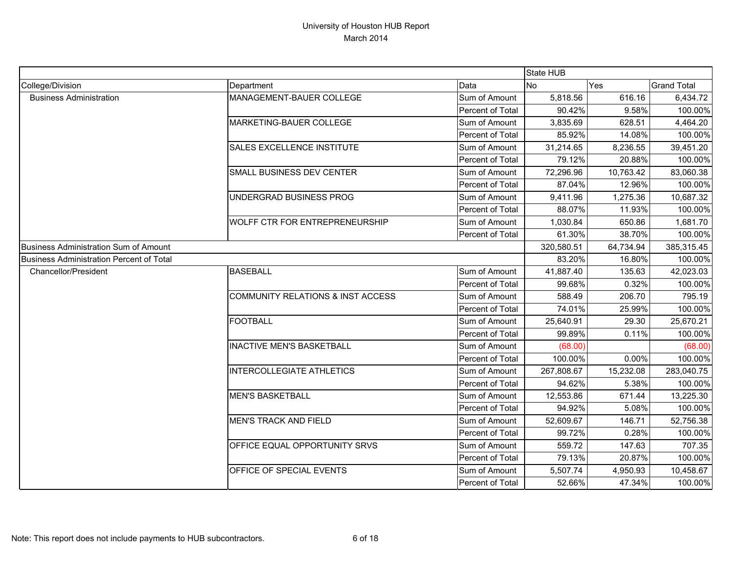|                                                 |                                       |                  | State HUB  |           |                    |
|-------------------------------------------------|---------------------------------------|------------------|------------|-----------|--------------------|
| College/Division                                | Department                            | Data             | <b>No</b>  | Yes       | <b>Grand Total</b> |
| <b>Business Administration</b>                  | MANAGEMENT-BAUER COLLEGE              | Sum of Amount    | 5,818.56   | 616.16    | 6,434.72           |
|                                                 |                                       | Percent of Total | 90.42%     | 9.58%     | 100.00%            |
|                                                 | MARKETING-BAUER COLLEGE               | Sum of Amount    | 3,835.69   | 628.51    | 4,464.20           |
|                                                 |                                       | Percent of Total | 85.92%     | 14.08%    | 100.00%            |
|                                                 | SALES EXCELLENCE INSTITUTE            | Sum of Amount    | 31,214.65  | 8,236.55  | 39,451.20          |
|                                                 |                                       | Percent of Total | 79.12%     | 20.88%    | 100.00%            |
|                                                 | SMALL BUSINESS DEV CENTER             | Sum of Amount    | 72,296.96  | 10,763.42 | 83,060.38          |
|                                                 |                                       | Percent of Total | 87.04%     | 12.96%    | 100.00%            |
|                                                 | UNDERGRAD BUSINESS PROG               | Sum of Amount    | 9,411.96   | 1,275.36  | 10,687.32          |
|                                                 |                                       | Percent of Total | 88.07%     | 11.93%    | 100.00%            |
|                                                 | <b>WOLFF CTR FOR ENTREPRENEURSHIP</b> | Sum of Amount    | 1,030.84   | 650.86    | 1,681.70           |
|                                                 |                                       | Percent of Total | 61.30%     | 38.70%    | 100.00%            |
| <b>Business Administration Sum of Amount</b>    |                                       |                  | 320,580.51 | 64,734.94 | 385,315.45         |
| <b>Business Administration Percent of Total</b> |                                       |                  | 83.20%     | 16.80%    | 100.00%            |
| <b>Chancellor/President</b>                     | <b>BASEBALL</b>                       | Sum of Amount    | 41,887.40  | 135.63    | 42,023.03          |
|                                                 |                                       | Percent of Total | 99.68%     | 0.32%     | 100.00%            |
|                                                 | COMMUNITY RELATIONS & INST ACCESS     | Sum of Amount    | 588.49     | 206.70    | 795.19             |
|                                                 |                                       | Percent of Total | 74.01%     | 25.99%    | 100.00%            |
|                                                 | <b>FOOTBALL</b>                       | Sum of Amount    | 25,640.91  | 29.30     | 25,670.21          |
|                                                 |                                       | Percent of Total | 99.89%     | 0.11%     | 100.00%            |
|                                                 | <b>INACTIVE MEN'S BASKETBALL</b>      | Sum of Amount    | (68.00)    |           | (68.00)            |
|                                                 |                                       | Percent of Total | 100.00%    | 0.00%     | 100.00%            |
|                                                 | <b>INTERCOLLEGIATE ATHLETICS</b>      | Sum of Amount    | 267,808.67 | 15,232.08 | 283,040.75         |
|                                                 |                                       | Percent of Total | 94.62%     | 5.38%     | 100.00%            |
|                                                 | <b>MEN'S BASKETBALL</b>               | Sum of Amount    | 12,553.86  | 671.44    | 13,225.30          |
|                                                 |                                       | Percent of Total | 94.92%     | 5.08%     | 100.00%            |
|                                                 | <b>MEN'S TRACK AND FIELD</b>          | Sum of Amount    | 52,609.67  | 146.71    | 52,756.38          |
|                                                 |                                       | Percent of Total | 99.72%     | 0.28%     | 100.00%            |
|                                                 | OFFICE EQUAL OPPORTUNITY SRVS         | Sum of Amount    | 559.72     | 147.63    | 707.35             |
|                                                 |                                       | Percent of Total | 79.13%     | 20.87%    | 100.00%            |
|                                                 | OFFICE OF SPECIAL EVENTS              | Sum of Amount    | 5,507.74   | 4,950.93  | 10,458.67          |
|                                                 |                                       | Percent of Total | 52.66%     | 47.34%    | 100.00%            |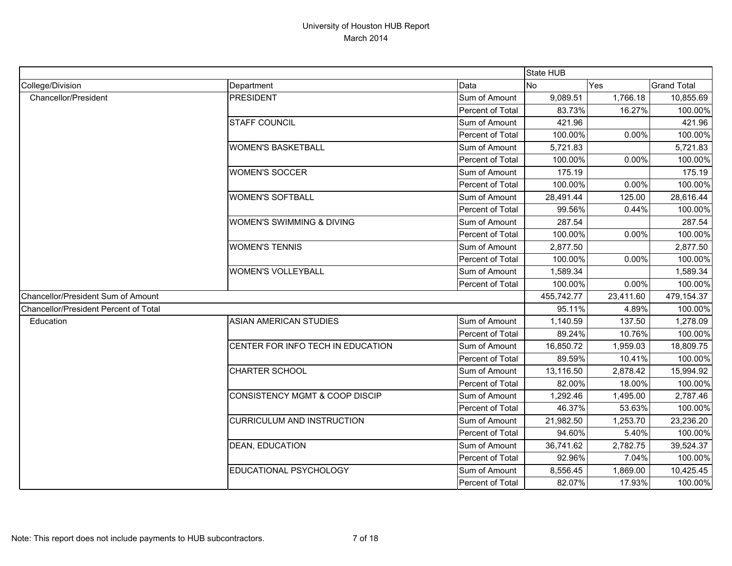|                                       |                                      |                  | State HUB  |           |                    |
|---------------------------------------|--------------------------------------|------------------|------------|-----------|--------------------|
| College/Division                      | Department                           | Data             | <b>No</b>  | Yes       | <b>Grand Total</b> |
| <b>Chancellor/President</b>           | <b>PRESIDENT</b>                     | Sum of Amount    | 9,089.51   | 1,766.18  | 10,855.69          |
|                                       |                                      | Percent of Total | 83.73%     | 16.27%    | 100.00%            |
|                                       | <b>STAFF COUNCIL</b>                 | Sum of Amount    | 421.96     |           | 421.96             |
|                                       |                                      | Percent of Total | 100.00%    | 0.00%     | 100.00%            |
|                                       | <b>WOMEN'S BASKETBALL</b>            | Sum of Amount    | 5,721.83   |           | 5,721.83           |
|                                       |                                      | Percent of Total | 100.00%    | 0.00%     | 100.00%            |
|                                       | <b>WOMEN'S SOCCER</b>                | Sum of Amount    | 175.19     |           | 175.19             |
|                                       |                                      | Percent of Total | 100.00%    | 0.00%     | 100.00%            |
|                                       | <b>WOMEN'S SOFTBALL</b>              | Sum of Amount    | 28,491.44  | 125.00    | 28,616.44          |
|                                       |                                      | Percent of Total | 99.56%     | 0.44%     | 100.00%            |
|                                       | <b>WOMEN'S SWIMMING &amp; DIVING</b> | Sum of Amount    | 287.54     |           | 287.54             |
|                                       |                                      | Percent of Total | 100.00%    | 0.00%     | 100.00%            |
|                                       | <b>WOMEN'S TENNIS</b>                | Sum of Amount    | 2,877.50   |           | 2,877.50           |
|                                       |                                      | Percent of Total | 100.00%    | 0.00%     | 100.00%            |
|                                       | <b>WOMEN'S VOLLEYBALL</b>            | Sum of Amount    | 1,589.34   |           | 1,589.34           |
|                                       |                                      | Percent of Total | 100.00%    | 0.00%     | 100.00%            |
| Chancellor/President Sum of Amount    |                                      |                  | 455,742.77 | 23,411.60 | 479,154.37         |
| Chancellor/President Percent of Total |                                      |                  | 95.11%     | 4.89%     | 100.00%            |
| Education                             | <b>ASIAN AMERICAN STUDIES</b>        | Sum of Amount    | 1,140.59   | 137.50    | 1,278.09           |
|                                       |                                      | Percent of Total | 89.24%     | 10.76%    | 100.00%            |
|                                       | CENTER FOR INFO TECH IN EDUCATION    | Sum of Amount    | 16,850.72  | 1,959.03  | 18,809.75          |
|                                       |                                      | Percent of Total | 89.59%     | 10.41%    | 100.00%            |
|                                       | <b>CHARTER SCHOOL</b>                | Sum of Amount    | 13,116.50  | 2,878.42  | 15,994.92          |
|                                       |                                      | Percent of Total | 82.00%     | 18.00%    | 100.00%            |
|                                       | CONSISTENCY MGMT & COOP DISCIP       | Sum of Amount    | 1,292.46   | 1,495.00  | 2,787.46           |
|                                       |                                      | Percent of Total | 46.37%     | 53.63%    | 100.00%            |
|                                       | <b>CURRICULUM AND INSTRUCTION</b>    | Sum of Amount    | 21,982.50  | 1,253.70  | 23,236.20          |
|                                       |                                      | Percent of Total | 94.60%     | 5.40%     | 100.00%            |
|                                       | <b>DEAN, EDUCATION</b>               | Sum of Amount    | 36,741.62  | 2,782.75  | 39,524.37          |
|                                       |                                      | Percent of Total | 92.96%     | 7.04%     | 100.00%            |
|                                       | EDUCATIONAL PSYCHOLOGY               | Sum of Amount    | 8,556.45   | 1,869.00  | 10,425.45          |
|                                       |                                      | Percent of Total | 82.07%     | 17.93%    | 100.00%            |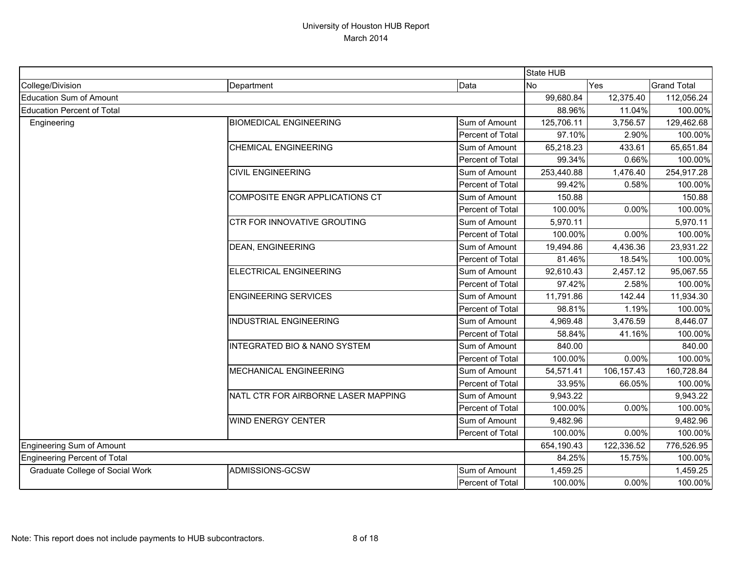|                                        |                                         |                  | State HUB  |            |                    |
|----------------------------------------|-----------------------------------------|------------------|------------|------------|--------------------|
| College/Division                       | Department                              | Data             | <b>No</b>  | Yes        | <b>Grand Total</b> |
| <b>Education Sum of Amount</b>         |                                         |                  | 99,680.84  | 12,375.40  | 112,056.24         |
| <b>Education Percent of Total</b>      |                                         |                  | 88.96%     | 11.04%     | 100.00%            |
| Engineering                            | <b>BIOMEDICAL ENGINEERING</b>           | Sum of Amount    | 125,706.11 | 3,756.57   | 129,462.68         |
|                                        |                                         | Percent of Total | 97.10%     | 2.90%      | 100.00%            |
|                                        | <b>CHEMICAL ENGINEERING</b>             | Sum of Amount    | 65,218.23  | 433.61     | 65,651.84          |
|                                        |                                         | Percent of Total | 99.34%     | 0.66%      | 100.00%            |
|                                        | <b>CIVIL ENGINEERING</b>                | Sum of Amount    | 253,440.88 | 1,476.40   | 254,917.28         |
|                                        |                                         | Percent of Total | 99.42%     | 0.58%      | 100.00%            |
|                                        | COMPOSITE ENGR APPLICATIONS CT          | Sum of Amount    | 150.88     |            | 150.88             |
|                                        |                                         | Percent of Total | 100.00%    | 0.00%      | 100.00%            |
|                                        | CTR FOR INNOVATIVE GROUTING             | Sum of Amount    | 5,970.11   |            | 5,970.11           |
|                                        |                                         | Percent of Total | 100.00%    | 0.00%      | 100.00%            |
|                                        | <b>DEAN, ENGINEERING</b>                | Sum of Amount    | 19,494.86  | 4,436.36   | 23,931.22          |
|                                        |                                         | Percent of Total | 81.46%     | 18.54%     | 100.00%            |
|                                        | ELECTRICAL ENGINEERING                  | Sum of Amount    | 92,610.43  | 2,457.12   | 95,067.55          |
|                                        |                                         | Percent of Total | 97.42%     | 2.58%      | 100.00%            |
|                                        | <b>ENGINEERING SERVICES</b>             | Sum of Amount    | 11,791.86  | 142.44     | 11,934.30          |
|                                        |                                         | Percent of Total | 98.81%     | 1.19%      | 100.00%            |
|                                        | <b>INDUSTRIAL ENGINEERING</b>           | Sum of Amount    | 4,969.48   | 3,476.59   | 8,446.07           |
|                                        |                                         | Percent of Total | 58.84%     | 41.16%     | 100.00%            |
|                                        | <b>INTEGRATED BIO &amp; NANO SYSTEM</b> | Sum of Amount    | 840.00     |            | 840.00             |
|                                        |                                         | Percent of Total | 100.00%    | 0.00%      | 100.00%            |
|                                        | <b>MECHANICAL ENGINEERING</b>           | Sum of Amount    | 54,571.41  | 106,157.43 | 160,728.84         |
|                                        |                                         | Percent of Total | 33.95%     | 66.05%     | 100.00%            |
|                                        | NATL CTR FOR AIRBORNE LASER MAPPING     | Sum of Amount    | 9,943.22   |            | 9,943.22           |
|                                        |                                         | Percent of Total | 100.00%    | 0.00%      | 100.00%            |
|                                        | <b>WIND ENERGY CENTER</b>               | Sum of Amount    | 9,482.96   |            | 9,482.96           |
|                                        |                                         | Percent of Total | 100.00%    | 0.00%      | 100.00%            |
| <b>Engineering Sum of Amount</b>       |                                         |                  | 654,190.43 | 122,336.52 | 776,526.95         |
| <b>Engineering Percent of Total</b>    |                                         |                  | 84.25%     | 15.75%     | 100.00%            |
| <b>Graduate College of Social Work</b> | ADMISSIONS-GCSW                         | Sum of Amount    | 1,459.25   |            | 1,459.25           |
|                                        |                                         | Percent of Total | 100.00%    | 0.00%      | 100.00%            |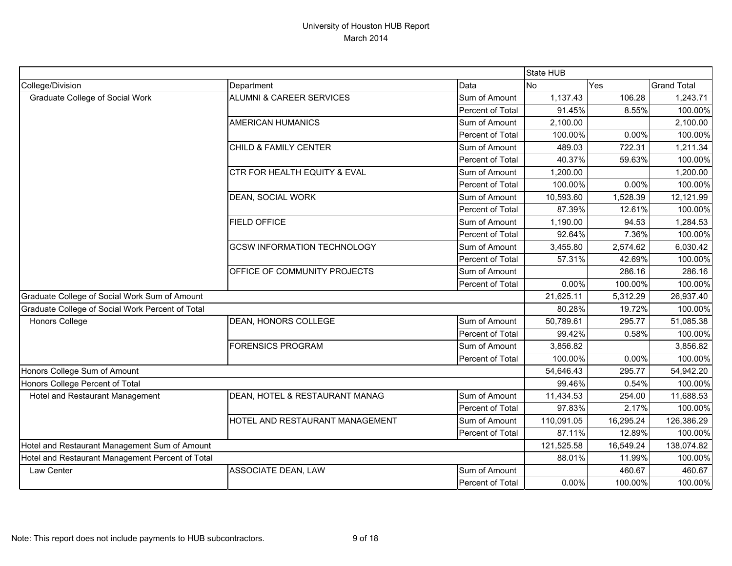|                                                  |                                     |                  | State HUB  |           |                    |
|--------------------------------------------------|-------------------------------------|------------------|------------|-----------|--------------------|
| College/Division                                 | Department                          | Data             | <b>No</b>  | Yes       | <b>Grand Total</b> |
| <b>Graduate College of Social Work</b>           | <b>ALUMNI &amp; CAREER SERVICES</b> | Sum of Amount    | 1,137.43   | 106.28    | 1,243.71           |
|                                                  |                                     | Percent of Total | 91.45%     | 8.55%     | 100.00%            |
|                                                  | <b>AMERICAN HUMANICS</b>            | Sum of Amount    | 2,100.00   |           | 2,100.00           |
|                                                  |                                     | Percent of Total | 100.00%    | 0.00%     | 100.00%            |
|                                                  | <b>CHILD &amp; FAMILY CENTER</b>    | Sum of Amount    | 489.03     | 722.31    | 1,211.34           |
|                                                  |                                     | Percent of Total | 40.37%     | 59.63%    | 100.00%            |
|                                                  | CTR FOR HEALTH EQUITY & EVAL        | Sum of Amount    | 1,200.00   |           | 1,200.00           |
|                                                  |                                     | Percent of Total | 100.00%    | 0.00%     | 100.00%            |
|                                                  | DEAN, SOCIAL WORK                   | Sum of Amount    | 10,593.60  | 1,528.39  | 12,121.99          |
|                                                  |                                     | Percent of Total | 87.39%     | 12.61%    | 100.00%            |
|                                                  | <b>FIELD OFFICE</b>                 | Sum of Amount    | 1,190.00   | 94.53     | 1,284.53           |
|                                                  |                                     | Percent of Total | 92.64%     | 7.36%     | 100.00%            |
|                                                  | <b>GCSW INFORMATION TECHNOLOGY</b>  | Sum of Amount    | 3,455.80   | 2,574.62  | 6,030.42           |
|                                                  |                                     | Percent of Total | 57.31%     | 42.69%    | 100.00%            |
|                                                  | OFFICE OF COMMUNITY PROJECTS        | Sum of Amount    |            | 286.16    | 286.16             |
|                                                  |                                     | Percent of Total | 0.00%      | 100.00%   | 100.00%            |
| Graduate College of Social Work Sum of Amount    |                                     |                  | 21,625.11  | 5,312.29  | 26,937.40          |
| Graduate College of Social Work Percent of Total |                                     |                  | 80.28%     | 19.72%    | 100.00%            |
| <b>Honors College</b>                            | DEAN, HONORS COLLEGE                | Sum of Amount    | 50,789.61  | 295.77    | 51,085.38          |
|                                                  |                                     | Percent of Total | 99.42%     | 0.58%     | 100.00%            |
|                                                  | <b>FORENSICS PROGRAM</b>            | Sum of Amount    | 3,856.82   |           | 3,856.82           |
|                                                  |                                     | Percent of Total | 100.00%    | 0.00%     | 100.00%            |
| Honors College Sum of Amount                     |                                     |                  | 54,646.43  | 295.77    | 54,942.20          |
| Honors College Percent of Total                  |                                     |                  | 99.46%     | 0.54%     | 100.00%            |
| Hotel and Restaurant Management                  | DEAN, HOTEL & RESTAURANT MANAG      | Sum of Amount    | 11,434.53  | 254.00    | 11,688.53          |
|                                                  |                                     | Percent of Total | 97.83%     | 2.17%     | 100.00%            |
|                                                  | HOTEL AND RESTAURANT MANAGEMENT     | Sum of Amount    | 110,091.05 | 16,295.24 | 126,386.29         |
|                                                  |                                     | Percent of Total | 87.11%     | 12.89%    | 100.00%            |
| Hotel and Restaurant Management Sum of Amount    |                                     |                  | 121,525.58 | 16,549.24 | 138,074.82         |
| Hotel and Restaurant Management Percent of Total |                                     |                  | 88.01%     | 11.99%    | 100.00%            |
| Law Center                                       | ASSOCIATE DEAN, LAW                 | Sum of Amount    |            | 460.67    | 460.67             |
|                                                  |                                     | Percent of Total | 0.00%      | 100.00%   | 100.00%            |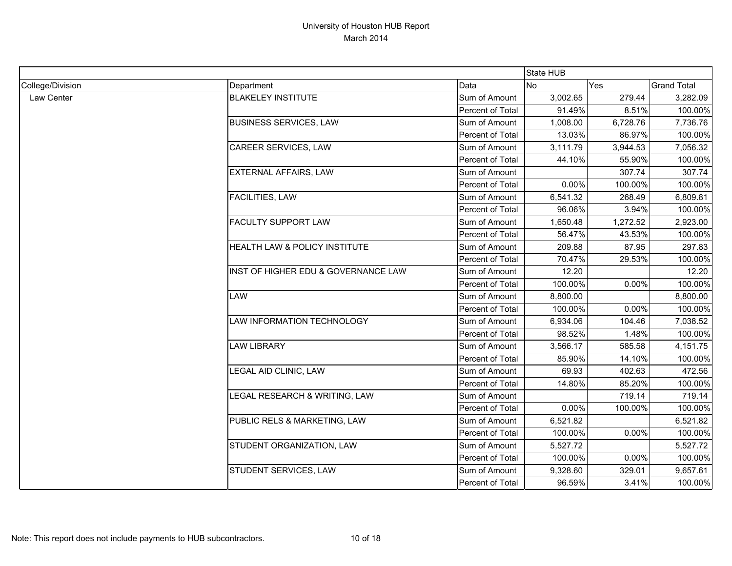|                  |                                     |                  | State HUB |          |                    |
|------------------|-------------------------------------|------------------|-----------|----------|--------------------|
| College/Division | Department                          | Data             | <b>No</b> | Yes      | <b>Grand Total</b> |
| Law Center       | <b>BLAKELEY INSTITUTE</b>           | Sum of Amount    | 3,002.65  | 279.44   | 3,282.09           |
|                  |                                     | Percent of Total | 91.49%    | 8.51%    | 100.00%            |
|                  | <b>BUSINESS SERVICES, LAW</b>       | Sum of Amount    | 1,008.00  | 6,728.76 | 7,736.76           |
|                  |                                     | Percent of Total | 13.03%    | 86.97%   | 100.00%            |
|                  | CAREER SERVICES, LAW                | Sum of Amount    | 3,111.79  | 3,944.53 | 7,056.32           |
|                  |                                     | Percent of Total | 44.10%    | 55.90%   | 100.00%            |
|                  | EXTERNAL AFFAIRS, LAW               | Sum of Amount    |           | 307.74   | 307.74             |
|                  |                                     | Percent of Total | 0.00%     | 100.00%  | 100.00%            |
|                  | <b>FACILITIES, LAW</b>              | Sum of Amount    | 6,541.32  | 268.49   | 6,809.81           |
|                  |                                     | Percent of Total | 96.06%    | 3.94%    | 100.00%            |
|                  | <b>FACULTY SUPPORT LAW</b>          | Sum of Amount    | 1,650.48  | 1,272.52 | 2,923.00           |
|                  |                                     | Percent of Total | 56.47%    | 43.53%   | 100.00%            |
|                  | HEALTH LAW & POLICY INSTITUTE       | Sum of Amount    | 209.88    | 87.95    | 297.83             |
|                  |                                     | Percent of Total | 70.47%    | 29.53%   | 100.00%            |
|                  | INST OF HIGHER EDU & GOVERNANCE LAW | Sum of Amount    | 12.20     |          | 12.20              |
|                  |                                     | Percent of Total | 100.00%   | 0.00%    | 100.00%            |
|                  | <b>LAW</b>                          | Sum of Amount    | 8,800.00  |          | 8,800.00           |
|                  |                                     | Percent of Total | 100.00%   | 0.00%    | 100.00%            |
|                  | LAW INFORMATION TECHNOLOGY          | Sum of Amount    | 6,934.06  | 104.46   | 7,038.52           |
|                  |                                     | Percent of Total | 98.52%    | 1.48%    | 100.00%            |
|                  | <b>LAW LIBRARY</b>                  | Sum of Amount    | 3,566.17  | 585.58   | 4,151.75           |
|                  |                                     | Percent of Total | 85.90%    | 14.10%   | 100.00%            |
|                  | LEGAL AID CLINIC, LAW               | Sum of Amount    | 69.93     | 402.63   | 472.56             |
|                  |                                     | Percent of Total | 14.80%    | 85.20%   | 100.00%            |
|                  | LEGAL RESEARCH & WRITING, LAW       | Sum of Amount    |           | 719.14   | 719.14             |
|                  |                                     | Percent of Total | 0.00%     | 100.00%  | 100.00%            |
|                  | PUBLIC RELS & MARKETING, LAW        | Sum of Amount    | 6,521.82  |          | 6,521.82           |
|                  |                                     | Percent of Total | 100.00%   | 0.00%    | 100.00%            |
|                  | STUDENT ORGANIZATION, LAW           | Sum of Amount    | 5,527.72  |          | 5,527.72           |
|                  |                                     | Percent of Total | 100.00%   | 0.00%    | 100.00%            |
|                  | STUDENT SERVICES, LAW               | Sum of Amount    | 9,328.60  | 329.01   | 9,657.61           |
|                  |                                     | Percent of Total | 96.59%    | 3.41%    | 100.00%            |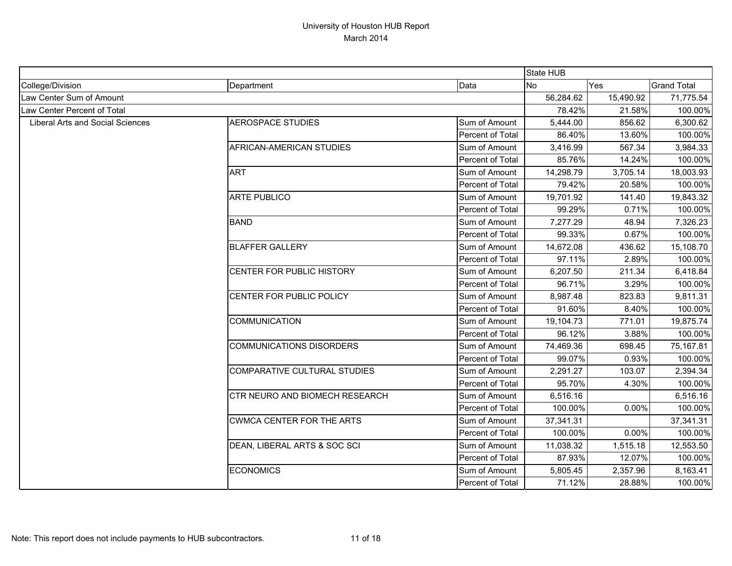|                                         |                                     |                  | <b>State HUB</b> |           |                    |
|-----------------------------------------|-------------------------------------|------------------|------------------|-----------|--------------------|
| College/Division                        | Department                          | Data             | <b>No</b>        | Yes       | <b>Grand Total</b> |
| Law Center Sum of Amount                |                                     |                  | 56,284.62        | 15,490.92 | 71,775.54          |
| Law Center Percent of Total             |                                     |                  | 78.42%           | 21.58%    | 100.00%            |
| <b>Liberal Arts and Social Sciences</b> | <b>AEROSPACE STUDIES</b>            | Sum of Amount    | 5,444.00         | 856.62    | 6,300.62           |
|                                         |                                     | Percent of Total | 86.40%           | 13.60%    | 100.00%            |
|                                         | AFRICAN-AMERICAN STUDIES            | Sum of Amount    | 3,416.99         | 567.34    | 3,984.33           |
|                                         |                                     | Percent of Total | 85.76%           | 14.24%    | 100.00%            |
|                                         | <b>ART</b>                          | Sum of Amount    | 14,298.79        | 3,705.14  | 18,003.93          |
|                                         |                                     | Percent of Total | 79.42%           | 20.58%    | 100.00%            |
|                                         | <b>ARTE PUBLICO</b>                 | Sum of Amount    | 19,701.92        | 141.40    | 19,843.32          |
|                                         |                                     | Percent of Total | 99.29%           | 0.71%     | 100.00%            |
|                                         | <b>BAND</b>                         | Sum of Amount    | 7,277.29         | 48.94     | 7,326.23           |
|                                         |                                     | Percent of Total | 99.33%           | 0.67%     | 100.00%            |
|                                         | <b>BLAFFER GALLERY</b>              | Sum of Amount    | 14,672.08        | 436.62    | 15,108.70          |
|                                         |                                     | Percent of Total | 97.11%           | 2.89%     | 100.00%            |
|                                         | CENTER FOR PUBLIC HISTORY           | Sum of Amount    | 6,207.50         | 211.34    | 6,418.84           |
|                                         |                                     | Percent of Total | 96.71%           | 3.29%     | 100.00%            |
|                                         | CENTER FOR PUBLIC POLICY            | Sum of Amount    | 8,987.48         | 823.83    | 9,811.31           |
|                                         |                                     | Percent of Total | 91.60%           | 8.40%     | 100.00%            |
|                                         | <b>COMMUNICATION</b>                | Sum of Amount    | 19,104.73        | 771.01    | 19,875.74          |
|                                         |                                     | Percent of Total | 96.12%           | 3.88%     | 100.00%            |
|                                         | <b>COMMUNICATIONS DISORDERS</b>     | Sum of Amount    | 74,469.36        | 698.45    | 75,167.81          |
|                                         |                                     | Percent of Total | 99.07%           | 0.93%     | 100.00%            |
|                                         | <b>COMPARATIVE CULTURAL STUDIES</b> | Sum of Amount    | 2,291.27         | 103.07    | 2,394.34           |
|                                         |                                     | Percent of Total | 95.70%           | 4.30%     | 100.00%            |
|                                         | CTR NEURO AND BIOMECH RESEARCH      | Sum of Amount    | 6,516.16         |           | 6,516.16           |
|                                         |                                     | Percent of Total | 100.00%          | 0.00%     | 100.00%            |
|                                         | <b>CWMCA CENTER FOR THE ARTS</b>    | Sum of Amount    | 37,341.31        |           | 37,341.31          |
|                                         |                                     | Percent of Total | 100.00%          | 0.00%     | 100.00%            |
|                                         | DEAN, LIBERAL ARTS & SOC SCI        | Sum of Amount    | 11,038.32        | 1,515.18  | 12,553.50          |
|                                         |                                     | Percent of Total | 87.93%           | 12.07%    | 100.00%            |
|                                         | <b>ECONOMICS</b>                    | Sum of Amount    | 5,805.45         | 2,357.96  | 8,163.41           |
|                                         |                                     | Percent of Total | 71.12%           | 28.88%    | 100.00%            |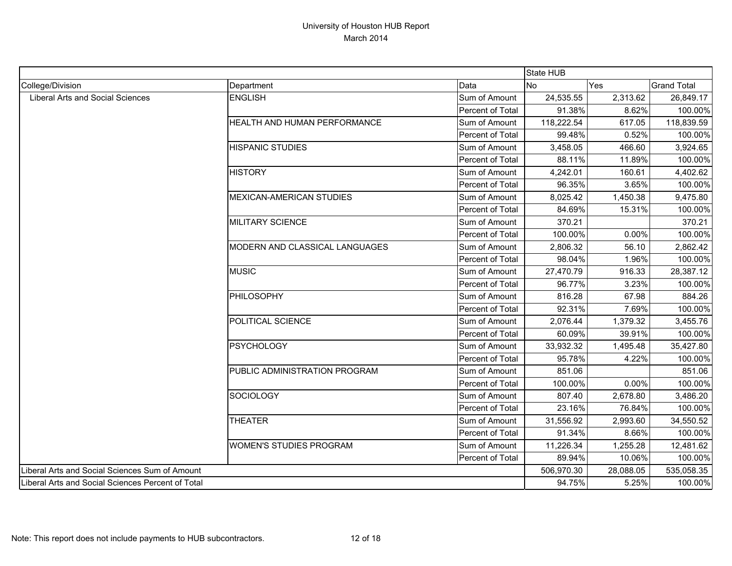|                                                   |                                |                  | State HUB  |           |                    |
|---------------------------------------------------|--------------------------------|------------------|------------|-----------|--------------------|
| College/Division                                  | Department                     | Data             | <b>No</b>  | Yes       | <b>Grand Total</b> |
| Liberal Arts and Social Sciences                  | <b>ENGLISH</b>                 | Sum of Amount    | 24,535.55  | 2,313.62  | 26,849.17          |
|                                                   |                                | Percent of Total | 91.38%     | 8.62%     | 100.00%            |
|                                                   | HEALTH AND HUMAN PERFORMANCE   | Sum of Amount    | 118,222.54 | 617.05    | 118,839.59         |
|                                                   |                                | Percent of Total | 99.48%     | 0.52%     | 100.00%            |
|                                                   | <b>HISPANIC STUDIES</b>        | Sum of Amount    | 3,458.05   | 466.60    | 3,924.65           |
|                                                   |                                | Percent of Total | 88.11%     | 11.89%    | 100.00%            |
|                                                   | <b>HISTORY</b>                 | Sum of Amount    | 4,242.01   | 160.61    | 4,402.62           |
|                                                   |                                | Percent of Total | 96.35%     | 3.65%     | 100.00%            |
|                                                   | MEXICAN-AMERICAN STUDIES       | Sum of Amount    | 8,025.42   | 1,450.38  | 9,475.80           |
|                                                   |                                | Percent of Total | 84.69%     | 15.31%    | 100.00%            |
|                                                   | <b>MILITARY SCIENCE</b>        | Sum of Amount    | 370.21     |           | 370.21             |
|                                                   |                                | Percent of Total | 100.00%    | 0.00%     | 100.00%            |
|                                                   | MODERN AND CLASSICAL LANGUAGES | Sum of Amount    | 2,806.32   | 56.10     | 2,862.42           |
|                                                   |                                | Percent of Total | 98.04%     | 1.96%     | 100.00%            |
|                                                   | <b>MUSIC</b>                   | Sum of Amount    | 27,470.79  | 916.33    | 28,387.12          |
|                                                   |                                | Percent of Total | 96.77%     | 3.23%     | 100.00%            |
|                                                   | <b>PHILOSOPHY</b>              | Sum of Amount    | 816.28     | 67.98     | 884.26             |
|                                                   |                                | Percent of Total | 92.31%     | 7.69%     | 100.00%            |
|                                                   | POLITICAL SCIENCE              | Sum of Amount    | 2,076.44   | 1,379.32  | 3,455.76           |
|                                                   |                                | Percent of Total | 60.09%     | 39.91%    | 100.00%            |
|                                                   | <b>PSYCHOLOGY</b>              | Sum of Amount    | 33,932.32  | 1,495.48  | 35,427.80          |
|                                                   |                                | Percent of Total | 95.78%     | 4.22%     | 100.00%            |
|                                                   | PUBLIC ADMINISTRATION PROGRAM  | Sum of Amount    | 851.06     |           | 851.06             |
|                                                   |                                | Percent of Total | 100.00%    | 0.00%     | 100.00%            |
|                                                   | <b>SOCIOLOGY</b>               | Sum of Amount    | 807.40     | 2,678.80  | 3,486.20           |
|                                                   |                                | Percent of Total | 23.16%     | 76.84%    | 100.00%            |
|                                                   | <b>THEATER</b>                 | Sum of Amount    | 31,556.92  | 2,993.60  | 34,550.52          |
|                                                   |                                | Percent of Total | 91.34%     | 8.66%     | 100.00%            |
|                                                   | <b>WOMEN'S STUDIES PROGRAM</b> | Sum of Amount    | 11,226.34  | 1,255.28  | 12,481.62          |
|                                                   |                                | Percent of Total | 89.94%     | 10.06%    | 100.00%            |
| Liberal Arts and Social Sciences Sum of Amount    |                                |                  | 506,970.30 | 28,088.05 | 535,058.35         |
| Liberal Arts and Social Sciences Percent of Total |                                |                  | 94.75%     | 5.25%     | 100.00%            |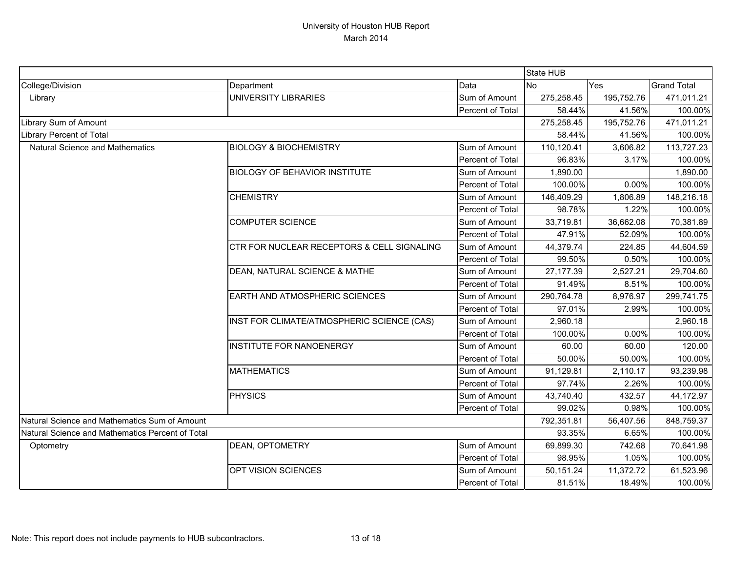|                                                  |                                                       |                  | State HUB  |            |                    |  |  |
|--------------------------------------------------|-------------------------------------------------------|------------------|------------|------------|--------------------|--|--|
| College/Division                                 | Department                                            | Data             | <b>No</b>  | Yes        | <b>Grand Total</b> |  |  |
| Library                                          | UNIVERSITY LIBRARIES                                  | Sum of Amount    | 275,258.45 | 195,752.76 | 471,011.21         |  |  |
|                                                  |                                                       | Percent of Total | 58.44%     | 41.56%     | 100.00%            |  |  |
| Library Sum of Amount                            |                                                       |                  | 275,258.45 | 195,752.76 | 471,011.21         |  |  |
| <b>Library Percent of Total</b>                  |                                                       |                  | 58.44%     | 41.56%     | 100.00%            |  |  |
| <b>Natural Science and Mathematics</b>           | <b>BIOLOGY &amp; BIOCHEMISTRY</b>                     | Sum of Amount    | 110,120.41 | 3,606.82   | 113,727.23         |  |  |
|                                                  |                                                       | Percent of Total | 96.83%     | 3.17%      | 100.00%            |  |  |
|                                                  | <b>BIOLOGY OF BEHAVIOR INSTITUTE</b>                  | Sum of Amount    | 1,890.00   |            | 1,890.00           |  |  |
|                                                  |                                                       | Percent of Total | 100.00%    | 0.00%      | 100.00%            |  |  |
|                                                  | <b>CHEMISTRY</b>                                      | Sum of Amount    | 146,409.29 | 1,806.89   | 148,216.18         |  |  |
|                                                  |                                                       | Percent of Total | 98.78%     | 1.22%      | 100.00%            |  |  |
|                                                  | <b>COMPUTER SCIENCE</b>                               | Sum of Amount    | 33,719.81  | 36,662.08  | 70,381.89          |  |  |
|                                                  |                                                       | Percent of Total | 47.91%     | 52.09%     | 100.00%            |  |  |
|                                                  | <b>CTR FOR NUCLEAR RECEPTORS &amp; CELL SIGNALING</b> | Sum of Amount    | 44,379.74  | 224.85     | 44,604.59          |  |  |
|                                                  |                                                       | Percent of Total | 99.50%     | 0.50%      | 100.00%            |  |  |
|                                                  | DEAN, NATURAL SCIENCE & MATHE                         | Sum of Amount    | 27,177.39  | 2,527.21   | 29,704.60          |  |  |
|                                                  |                                                       | Percent of Total | 91.49%     | 8.51%      | 100.00%            |  |  |
|                                                  | <b>EARTH AND ATMOSPHERIC SCIENCES</b>                 | Sum of Amount    | 290,764.78 | 8,976.97   | 299,741.75         |  |  |
|                                                  |                                                       | Percent of Total | 97.01%     | 2.99%      | 100.00%            |  |  |
|                                                  | INST FOR CLIMATE/ATMOSPHERIC SCIENCE (CAS)            | Sum of Amount    | 2,960.18   |            | 2,960.18           |  |  |
|                                                  |                                                       | Percent of Total | 100.00%    | 0.00%      | 100.00%            |  |  |
|                                                  | <b>INSTITUTE FOR NANOENERGY</b>                       | Sum of Amount    | 60.00      | 60.00      | 120.00             |  |  |
|                                                  |                                                       | Percent of Total | 50.00%     | 50.00%     | 100.00%            |  |  |
|                                                  | <b>MATHEMATICS</b>                                    | Sum of Amount    | 91,129.81  | 2,110.17   | 93,239.98          |  |  |
|                                                  |                                                       | Percent of Total | 97.74%     | 2.26%      | 100.00%            |  |  |
|                                                  | <b>PHYSICS</b>                                        | Sum of Amount    | 43,740.40  | 432.57     | 44,172.97          |  |  |
|                                                  |                                                       | Percent of Total | 99.02%     | 0.98%      | 100.00%            |  |  |
| Natural Science and Mathematics Sum of Amount    |                                                       |                  | 792,351.81 | 56,407.56  | 848,759.37         |  |  |
| Natural Science and Mathematics Percent of Total |                                                       | 93.35%           | 6.65%      | 100.00%    |                    |  |  |
| Optometry                                        | <b>DEAN, OPTOMETRY</b>                                | Sum of Amount    | 69,899.30  | 742.68     | 70,641.98          |  |  |
|                                                  |                                                       | Percent of Total | 98.95%     | 1.05%      | 100.00%            |  |  |
|                                                  | <b>OPT VISION SCIENCES</b>                            | Sum of Amount    | 50,151.24  | 11,372.72  | 61,523.96          |  |  |
|                                                  |                                                       | Percent of Total | 81.51%     | 18.49%     | 100.00%            |  |  |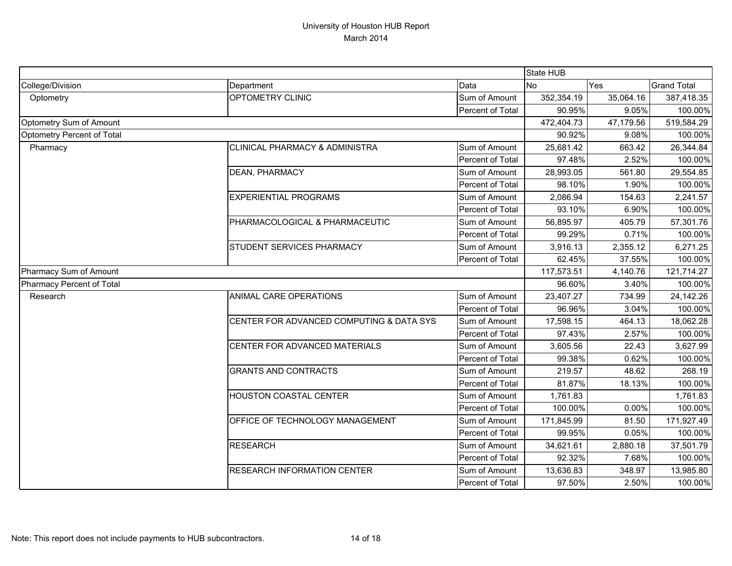|                                   |                                           |                  | State HUB  |           |                    |
|-----------------------------------|-------------------------------------------|------------------|------------|-----------|--------------------|
| College/Division                  | Department                                | Data             | <b>No</b>  | Yes       | <b>Grand Total</b> |
| Optometry                         | OPTOMETRY CLINIC                          | Sum of Amount    | 352,354.19 | 35,064.16 | 387,418.35         |
|                                   |                                           | Percent of Total | 90.95%     | 9.05%     | 100.00%            |
| Optometry Sum of Amount           |                                           |                  | 472,404.73 | 47,179.56 | 519,584.29         |
| <b>Optometry Percent of Total</b> |                                           |                  | 90.92%     | 9.08%     | 100.00%            |
| Pharmacy                          | <b>CLINICAL PHARMACY &amp; ADMINISTRA</b> | Sum of Amount    | 25,681.42  | 663.42    | 26,344.84          |
|                                   |                                           | Percent of Total | 97.48%     | 2.52%     | 100.00%            |
|                                   | DEAN, PHARMACY                            | Sum of Amount    | 28,993.05  | 561.80    | 29,554.85          |
|                                   |                                           | Percent of Total | 98.10%     | 1.90%     | 100.00%            |
|                                   | <b>EXPERIENTIAL PROGRAMS</b>              | Sum of Amount    | 2,086.94   | 154.63    | 2,241.57           |
|                                   |                                           | Percent of Total | 93.10%     | 6.90%     | 100.00%            |
|                                   | PHARMACOLOGICAL & PHARMACEUTIC            | Sum of Amount    | 56,895.97  | 405.79    | 57,301.76          |
|                                   |                                           | Percent of Total | 99.29%     | 0.71%     | 100.00%            |
|                                   | STUDENT SERVICES PHARMACY                 | Sum of Amount    | 3,916.13   | 2,355.12  | 6,271.25           |
|                                   |                                           | Percent of Total | 62.45%     | 37.55%    | 100.00%            |
| Pharmacy Sum of Amount            |                                           |                  | 117,573.51 | 4,140.76  | 121,714.27         |
| Pharmacy Percent of Total         |                                           |                  | 96.60%     | 3.40%     | 100.00%            |
| Research                          | ANIMAL CARE OPERATIONS                    | Sum of Amount    | 23,407.27  | 734.99    | 24,142.26          |
|                                   |                                           | Percent of Total | 96.96%     | 3.04%     | 100.00%            |
|                                   | CENTER FOR ADVANCED COMPUTING & DATA SYS  | Sum of Amount    | 17,598.15  | 464.13    | 18,062.28          |
|                                   |                                           | Percent of Total | 97.43%     | 2.57%     | 100.00%            |
|                                   | CENTER FOR ADVANCED MATERIALS             | Sum of Amount    | 3,605.56   | 22.43     | 3,627.99           |
|                                   |                                           | Percent of Total | 99.38%     | 0.62%     | 100.00%            |
|                                   | <b>GRANTS AND CONTRACTS</b>               | Sum of Amount    | 219.57     | 48.62     | 268.19             |
|                                   |                                           | Percent of Total | 81.87%     | 18.13%    | 100.00%            |
|                                   | <b>HOUSTON COASTAL CENTER</b>             | Sum of Amount    | 1,761.83   |           | 1,761.83           |
|                                   |                                           | Percent of Total | 100.00%    | 0.00%     | 100.00%            |
|                                   | OFFICE OF TECHNOLOGY MANAGEMENT           | Sum of Amount    | 171,845.99 | 81.50     | 171,927.49         |
|                                   |                                           | Percent of Total | 99.95%     | 0.05%     | 100.00%            |
|                                   | <b>RESEARCH</b>                           | Sum of Amount    | 34,621.61  | 2,880.18  | 37,501.79          |
|                                   |                                           | Percent of Total | 92.32%     | 7.68%     | 100.00%            |
|                                   | <b>RESEARCH INFORMATION CENTER</b>        | Sum of Amount    | 13,636.83  | 348.97    | 13,985.80          |
|                                   |                                           | Percent of Total | 97.50%     | 2.50%     | 100.00%            |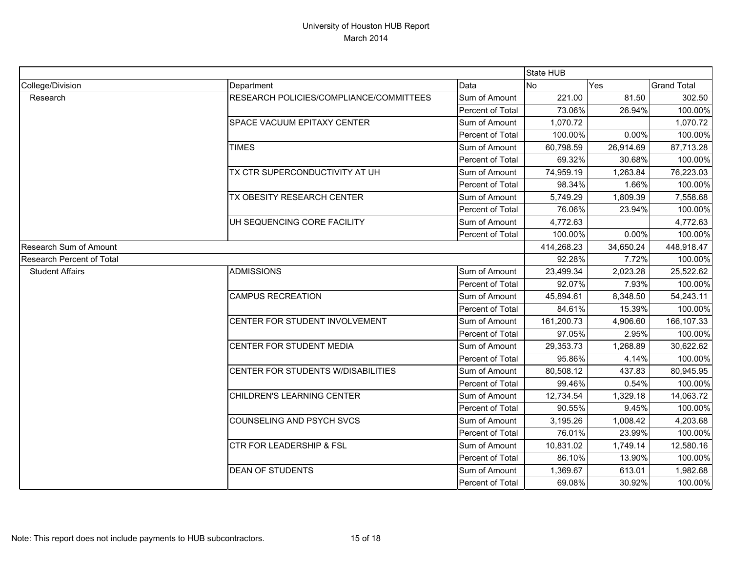|                                  |                                         |                  | State HUB  |           |                    |
|----------------------------------|-----------------------------------------|------------------|------------|-----------|--------------------|
| College/Division                 | Department                              | Data             | <b>No</b>  | Yes       | <b>Grand Total</b> |
| Research                         | RESEARCH POLICIES/COMPLIANCE/COMMITTEES | Sum of Amount    | 221.00     | 81.50     | 302.50             |
|                                  |                                         | Percent of Total | 73.06%     | 26.94%    | 100.00%            |
|                                  | SPACE VACUUM EPITAXY CENTER             | Sum of Amount    | 1,070.72   |           | 1,070.72           |
|                                  |                                         | Percent of Total | 100.00%    | 0.00%     | 100.00%            |
|                                  | <b>TIMES</b>                            | Sum of Amount    | 60,798.59  | 26,914.69 | 87,713.28          |
|                                  |                                         | Percent of Total | 69.32%     | 30.68%    | 100.00%            |
|                                  | TX CTR SUPERCONDUCTIVITY AT UH          | Sum of Amount    | 74,959.19  | 1,263.84  | 76,223.03          |
|                                  |                                         | Percent of Total | 98.34%     | 1.66%     | 100.00%            |
|                                  | TX OBESITY RESEARCH CENTER              | Sum of Amount    | 5,749.29   | 1,809.39  | 7,558.68           |
|                                  |                                         | Percent of Total | 76.06%     | 23.94%    | 100.00%            |
|                                  | UH SEQUENCING CORE FACILITY             | Sum of Amount    | 4,772.63   |           | 4,772.63           |
|                                  |                                         | Percent of Total | 100.00%    | 0.00%     | 100.00%            |
| <b>Research Sum of Amount</b>    |                                         |                  | 414,268.23 | 34,650.24 | 448,918.47         |
| <b>Research Percent of Total</b> |                                         |                  | 92.28%     | 7.72%     | 100.00%            |
| <b>Student Affairs</b>           | <b>ADMISSIONS</b>                       | Sum of Amount    | 23,499.34  | 2,023.28  | 25,522.62          |
|                                  |                                         | Percent of Total | 92.07%     | 7.93%     | 100.00%            |
|                                  | <b>CAMPUS RECREATION</b>                | Sum of Amount    | 45,894.61  | 8,348.50  | 54,243.11          |
|                                  |                                         | Percent of Total | 84.61%     | 15.39%    | 100.00%            |
|                                  | CENTER FOR STUDENT INVOLVEMENT          | Sum of Amount    | 161,200.73 | 4,906.60  | 166,107.33         |
|                                  |                                         | Percent of Total | 97.05%     | 2.95%     | 100.00%            |
|                                  | CENTER FOR STUDENT MEDIA                | Sum of Amount    | 29,353.73  | 1,268.89  | 30,622.62          |
|                                  |                                         | Percent of Total | 95.86%     | 4.14%     | 100.00%            |
|                                  | CENTER FOR STUDENTS W/DISABILITIES      | Sum of Amount    | 80,508.12  | 437.83    | 80,945.95          |
|                                  |                                         | Percent of Total | 99.46%     | 0.54%     | 100.00%            |
|                                  | CHILDREN'S LEARNING CENTER              | Sum of Amount    | 12,734.54  | 1,329.18  | 14,063.72          |
|                                  |                                         | Percent of Total | 90.55%     | 9.45%     | 100.00%            |
|                                  | COUNSELING AND PSYCH SVCS               | Sum of Amount    | 3,195.26   | 1,008.42  | 4,203.68           |
|                                  |                                         | Percent of Total | 76.01%     | 23.99%    | 100.00%            |
|                                  | <b>CTR FOR LEADERSHIP &amp; FSL</b>     | Sum of Amount    | 10,831.02  | 1,749.14  | 12,580.16          |
|                                  |                                         | Percent of Total | 86.10%     | 13.90%    | 100.00%            |
|                                  | <b>DEAN OF STUDENTS</b>                 | Sum of Amount    | 1,369.67   | 613.01    | 1,982.68           |
|                                  |                                         | Percent of Total | 69.08%     | 30.92%    | 100.00%            |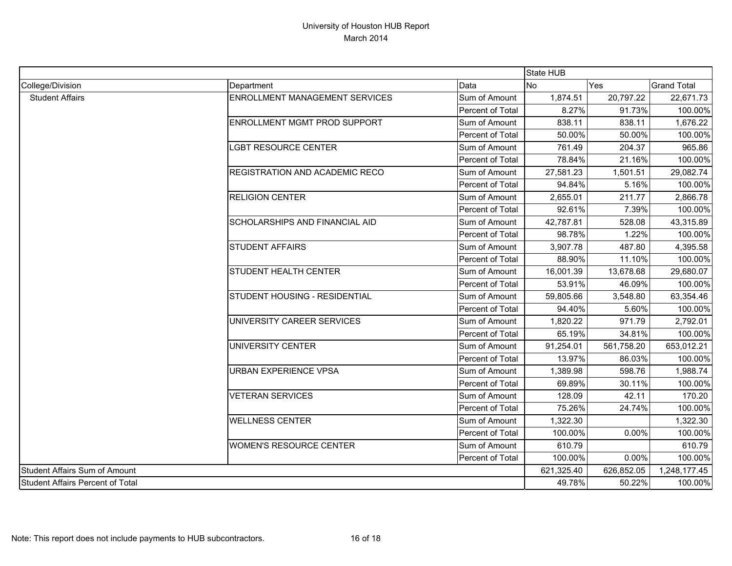|                                  |                                |                  | State HUB  |              |                    |
|----------------------------------|--------------------------------|------------------|------------|--------------|--------------------|
| College/Division                 | Department                     | Data             | <b>No</b>  | Yes          | <b>Grand Total</b> |
| <b>Student Affairs</b>           | ENROLLMENT MANAGEMENT SERVICES | Sum of Amount    | 1,874.51   | 20,797.22    | 22,671.73          |
|                                  |                                | Percent of Total | 8.27%      | 91.73%       | 100.00%            |
|                                  | ENROLLMENT MGMT PROD SUPPORT   | Sum of Amount    | 838.11     | 838.11       | 1,676.22           |
|                                  |                                | Percent of Total | 50.00%     | 50.00%       | 100.00%            |
|                                  | <b>LGBT RESOURCE CENTER</b>    | Sum of Amount    | 761.49     | 204.37       | 965.86             |
|                                  |                                | Percent of Total | 78.84%     | 21.16%       | 100.00%            |
|                                  | REGISTRATION AND ACADEMIC RECO | Sum of Amount    | 27,581.23  | 1,501.51     | 29,082.74          |
|                                  |                                | Percent of Total | 94.84%     | 5.16%        | 100.00%            |
|                                  | <b>RELIGION CENTER</b>         | Sum of Amount    | 2,655.01   | 211.77       | 2,866.78           |
|                                  |                                | Percent of Total | 92.61%     | 7.39%        | 100.00%            |
|                                  | SCHOLARSHIPS AND FINANCIAL AID | Sum of Amount    | 42,787.81  | 528.08       | 43,315.89          |
|                                  |                                | Percent of Total | 98.78%     | 1.22%        | 100.00%            |
|                                  | <b>STUDENT AFFAIRS</b>         | Sum of Amount    | 3,907.78   | 487.80       | 4,395.58           |
|                                  |                                | Percent of Total | 88.90%     | 11.10%       | 100.00%            |
|                                  | STUDENT HEALTH CENTER          | Sum of Amount    | 16,001.39  | 13,678.68    | 29,680.07          |
|                                  |                                | Percent of Total | 53.91%     | 46.09%       | 100.00%            |
|                                  | STUDENT HOUSING - RESIDENTIAL  | Sum of Amount    | 59,805.66  | 3,548.80     | 63,354.46          |
|                                  |                                | Percent of Total | 94.40%     | 5.60%        | 100.00%            |
|                                  | UNIVERSITY CAREER SERVICES     | Sum of Amount    | 1,820.22   | 971.79       | 2,792.01           |
|                                  |                                | Percent of Total | 65.19%     | 34.81%       | 100.00%            |
|                                  | <b>UNIVERSITY CENTER</b>       | Sum of Amount    | 91,254.01  | 561,758.20   | 653,012.21         |
|                                  |                                | Percent of Total | 13.97%     | 86.03%       | 100.00%            |
|                                  | URBAN EXPERIENCE VPSA          | Sum of Amount    | 1,389.98   | 598.76       | 1,988.74           |
|                                  |                                | Percent of Total | 69.89%     | 30.11%       | 100.00%            |
|                                  | <b>VETERAN SERVICES</b>        | Sum of Amount    | 128.09     | 42.11        | 170.20             |
|                                  |                                | Percent of Total | 75.26%     | 24.74%       | 100.00%            |
|                                  | <b>WELLNESS CENTER</b>         | Sum of Amount    | 1,322.30   |              | 1,322.30           |
|                                  |                                | Percent of Total | 100.00%    | 0.00%        | 100.00%            |
|                                  | <b>WOMEN'S RESOURCE CENTER</b> | Sum of Amount    | 610.79     |              | 610.79             |
|                                  |                                | Percent of Total | 100.00%    | 0.00%        | 100.00%            |
| Student Affairs Sum of Amount    |                                | 621,325.40       | 626,852.05 | 1,248,177.45 |                    |
| Student Affairs Percent of Total |                                |                  | 49.78%     | 50.22%       | 100.00%            |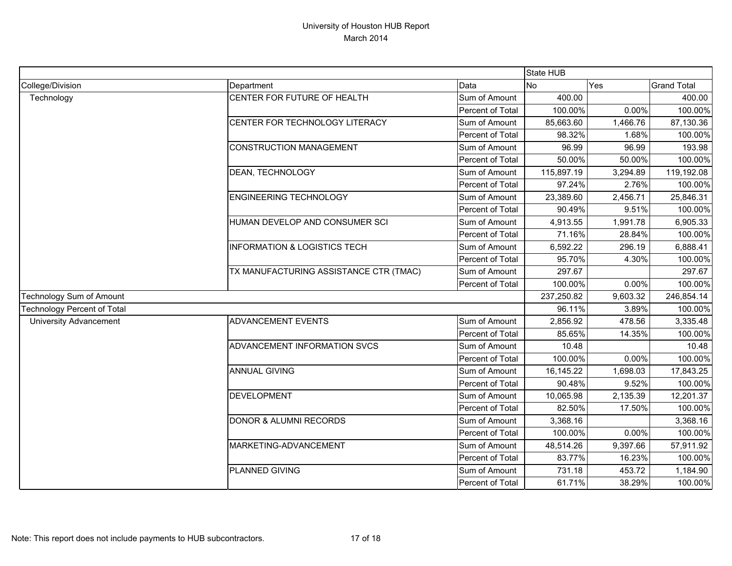|                                    |                                         |                  | <b>State HUB</b> |            |                    |
|------------------------------------|-----------------------------------------|------------------|------------------|------------|--------------------|
| College/Division                   | Department                              | Data             | <b>No</b>        | Yes        | <b>Grand Total</b> |
| Technology                         | CENTER FOR FUTURE OF HEALTH             | Sum of Amount    | 400.00           |            | 400.00             |
|                                    |                                         | Percent of Total | 100.00%          | 0.00%      | 100.00%            |
|                                    | CENTER FOR TECHNOLOGY LITERACY          | Sum of Amount    | 85,663.60        | 1,466.76   | 87,130.36          |
|                                    |                                         | Percent of Total | 98.32%           | 1.68%      | 100.00%            |
|                                    | <b>CONSTRUCTION MANAGEMENT</b>          | Sum of Amount    | 96.99            | 96.99      | 193.98             |
|                                    |                                         | Percent of Total | 50.00%           | 50.00%     | 100.00%            |
|                                    | DEAN, TECHNOLOGY                        | Sum of Amount    | 115,897.19       | 3,294.89   | 119,192.08         |
|                                    |                                         | Percent of Total | 97.24%           | 2.76%      | 100.00%            |
|                                    | <b>ENGINEERING TECHNOLOGY</b>           | Sum of Amount    | 23,389.60        | 2,456.71   | 25,846.31          |
|                                    |                                         | Percent of Total | 90.49%           | 9.51%      | 100.00%            |
|                                    | HUMAN DEVELOP AND CONSUMER SCI          | Sum of Amount    | 4,913.55         | 1,991.78   | 6,905.33           |
|                                    |                                         | Percent of Total | 71.16%           | 28.84%     | 100.00%            |
|                                    | <b>INFORMATION &amp; LOGISTICS TECH</b> | Sum of Amount    | 6,592.22         | 296.19     | 6,888.41           |
|                                    |                                         | Percent of Total | 95.70%           | 4.30%      | 100.00%            |
|                                    | TX MANUFACTURING ASSISTANCE CTR (TMAC)  | Sum of Amount    | 297.67           |            | 297.67             |
|                                    |                                         | Percent of Total | 100.00%          | 0.00%      | 100.00%            |
| Technology Sum of Amount           |                                         | 237,250.82       | 9,603.32         | 246,854.14 |                    |
| <b>Technology Percent of Total</b> |                                         |                  | 96.11%           | 3.89%      | 100.00%            |
| <b>University Advancement</b>      | ADVANCEMENT EVENTS                      | Sum of Amount    | 2,856.92         | 478.56     | 3,335.48           |
|                                    |                                         | Percent of Total | 85.65%           | 14.35%     | 100.00%            |
|                                    | ADVANCEMENT INFORMATION SVCS            | Sum of Amount    | 10.48            |            | 10.48              |
|                                    |                                         | Percent of Total | 100.00%          | 0.00%      | 100.00%            |
|                                    | <b>ANNUAL GIVING</b>                    | Sum of Amount    | 16,145.22        | 1,698.03   | 17,843.25          |
|                                    |                                         | Percent of Total | 90.48%           | 9.52%      | 100.00%            |
|                                    | <b>DEVELOPMENT</b>                      | Sum of Amount    | 10,065.98        | 2,135.39   | 12,201.37          |
|                                    |                                         | Percent of Total | 82.50%           | 17.50%     | 100.00%            |
|                                    | <b>DONOR &amp; ALUMNI RECORDS</b>       | Sum of Amount    | 3,368.16         |            | 3,368.16           |
|                                    |                                         | Percent of Total | 100.00%          | 0.00%      | 100.00%            |
|                                    | MARKETING-ADVANCEMENT                   | Sum of Amount    | 48,514.26        | 9,397.66   | 57,911.92          |
|                                    |                                         | Percent of Total | 83.77%           | 16.23%     | 100.00%            |
|                                    | PLANNED GIVING                          | Sum of Amount    | 731.18           | 453.72     | 1,184.90           |
|                                    |                                         | Percent of Total | 61.71%           | 38.29%     | 100.00%            |